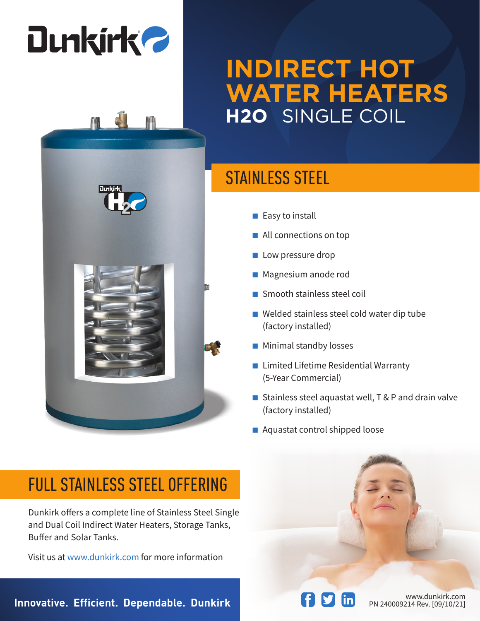# **Dunkirk 2**

### **INDIRECT HOT WATER HEATERS H2O** SINGLE COIL

#### STAINLESS STEEL

- Easy to install
- All connections on top
- Low pressure drop
- Magnesium anode rod
- Smooth stainless steel coil
- Welded stainless steel cold water dip tube (factory installed)
- Minimal standby losses
- Limited Lifetime Residential Warranty (5-Year Commercial)
- Stainless steel aquastat well, T & P and drain valve (factory installed)
- Aquastat control shipped loose

#### FULL STAINLESS STEEL OFFERING

Dunkirk offers a complete line of Stainless Steel Single and Dual Coil Indirect Water Heaters, Storage Tanks, Buffer and Solar Tanks.

Visit us at www.dunkirk.com for more information

**Innovative. Efficient. Dependable. Dunkirk Physician Communisty Rev. [09/10/21]**